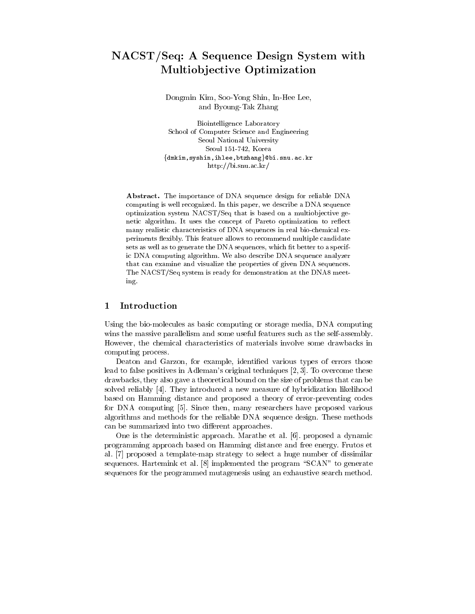# NACST/Seq: A Sequence Design System with **Multiobjective Optimization**

Dongmin Kim, Soo-Yong Shin, In-Hee Lee, and Byoung-Tak Zhang

Biointelligence Laboratory School of Computer Science and Engineering Seoul National University Seoul 151-742, Korea {dmkim, syshin, ihlee, btzhang}@bi.snu.ac.kr  $http://bi.snu.ac.kr/$ 

Abstract. The importance of DNA sequence design for reliable DNA computing is well recognized. In this paper, we describe a DNA sequence optimization system NACST/Seq that is based on a multiobjective genetic algorithm. It uses the concept of Pareto optimization to reflect many realistic characteristics of DNA sequences in real bio-chemical experiments flexibly. This feature allows to recommend multiple candidate sets as well as to generate the DNA sequences, which fit better to a specific DNA computing algorithm. We also describe DNA sequence analyzer that can examine and visualize the properties of given DNA sequences. The NACST/Seq system is ready for demonstration at the DNA8 meeting

#### Introduction  $\mathbf 1$

Using the bio-molecules as basic computing or storage media, DNA computing wins the massive parallelism and some useful features such as the self-assembly. However, the chemical characteristics of materials involve some drawbacks in computing process.

Deaton and Garzon, for example, identified various types of errors those lead to false positives in Adleman's original techniques  $[2,3]$ . To overcome these drawbacks, they also gave a theoretical bound on the size of problems that can be solved reliably [4]. They introduced a new measure of hybridization likelihood based on Hamming distance and proposed a theory of error-preventing codes for DNA computing [5]. Since then, many researchers have proposed various algorithms and methods for the reliable DNA sequence design. These methods can be summarized into two different approaches.

One is the deterministic approach. Marathe et al. [6], proposed a dynamic programming approach based on Hamming distance and free energy. Frutos et al. [7] proposed a template-map strategy to select a huge number of dissimilar sequences. Hartemink et al. [8] implemented the program "SCAN" to generate sequences for the programmed mutagenesis using an exhaustive search method.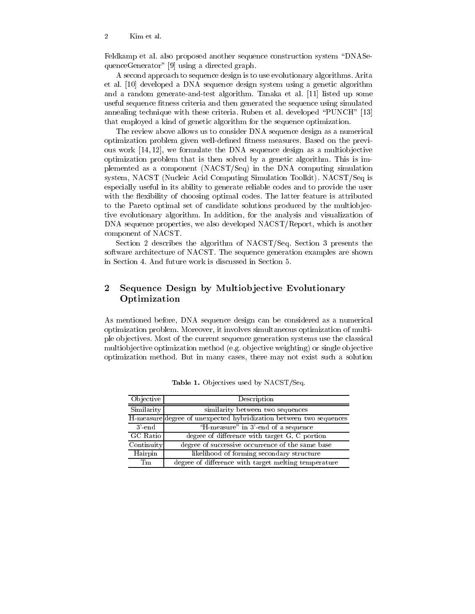Feldkamp et al. also proposed another sequence construction system "DNASequenceGenerator" [9] using a directed graph.

A second approach to sequence design is to use evolutionary algorithms. Arita et al. [10] developed a DNA sequence design system using a genetic algorithm and a random generate-and-test algorithm. Tanaka et al. [11] listed up some useful sequence fitness criteria and then generated the sequence using simulated annealing technique with these criteria. Ruben et al. developed "PUNCH" [13] that employed a kind of genetic algorithm for the sequence optimization.

The review above allows us to consider DNA sequence design as a numerical optimization problem given well-defined fitness measures. Based on the previous work [14, 12], we formulate the DNA sequence design as a multiobjective optimization problem that is then solved by a genetic algorithm. This is implemented as a component (NACST/Seq) in the DNA computing simulation system, NACST (Nucleic Acid Computing Simulation Toolkit). NACST/Seq is especially useful in its ability to generate reliable codes and to provide the user with the flexibility of choosing optimal codes. The latter feature is attributed to the Pareto optimal set of candidate solutions produced by the multiobjective evolutionary algorithm. In addition, for the analysis and visualization of DNA sequence properties, we also developed NACST/Report, which is another component of NACST.

Section 2 describes the algorithm of NACST/Seq. Section 3 presents the software architecture of NACST. The sequence generation examples are shown in Section 4. And future work is discussed in Section 5.

### $\bf{2}$ Sequence Design by Multiobjective Evolutionary Optimization

As mentioned before, DNA sequence design can be considered as a numerical optimization problem. Moreover, it involves simultaneous optimization of multiple objectives. Most of the current sequence generation systems use the classical multiobjective optimization method (e.g. objective weighting) or single objective optimization method. But in many cases, there may not exist such a solution

| Objective  | Description                                                        |  |  |  |  |
|------------|--------------------------------------------------------------------|--|--|--|--|
| Similarity | similarity between two sequences                                   |  |  |  |  |
|            | H-measure degree of unexpected hybridization between two sequences |  |  |  |  |
| $3'$ end   | "H-measure" in 3'-end of a sequence                                |  |  |  |  |
| GC Ratio   | degree of difference with target G, C portion                      |  |  |  |  |
| Continuity | degree of successive occurrence of the same base                   |  |  |  |  |
| Hairpin    | likelihood of forming secondary structure                          |  |  |  |  |
| Tm         | degree of difference with target melting temperature               |  |  |  |  |

Table 1. Objectives used by NACST/Seq.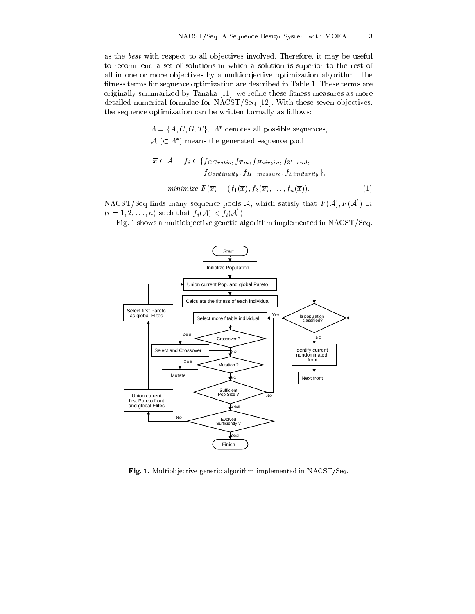as the best with respect to all objectives involved. Therefore, it may be useful to recommend a set of solutions in which a solution is superior to the rest of all in one or more objectives by a multiobjective optimization algorithm. The fitness terms for sequence optimization are described in Table 1. These terms are originally summarized by Tanaka [11], we refine these fitness measures as more detailed numerical formulae for NACST/Seq [12]. With these seven objectives. the sequence optimization can be written formally as follows:

> $A = \{A, C, G, T\}, A^*$  denotes all possible sequences,  $A$  ( $\subset \Lambda^*$ ) means the generated sequence pool,

 $\overline{x} \in \mathcal{A}, \quad f_i \in \{f_{GCratio}, f_{Tm}, f_{Hairpin}, f_{3'-end},\}$  $f_{Continuity}, f_{H-measure}, f_{Similarity}\},$ 

$$
minimize F(\overline{x}) = (f_1(\overline{x}), f_2(\overline{x}), \dots, f_n(\overline{x})). \tag{1}
$$

NACST/Seq finds many sequence pools A, which satisfy that  $F(A), F(A')$   $\exists i$  $(i = 1, 2, \ldots, n)$  such that  $f_i(\mathcal{A}) < f_i(\mathcal{A}^{\prime})$ .

Fig. 1 shows a multiobjective genetic algorithm implemented in NACST/Seq.



Fig. 1. Multiobjective genetic algorithm implemented in NACST/Seq.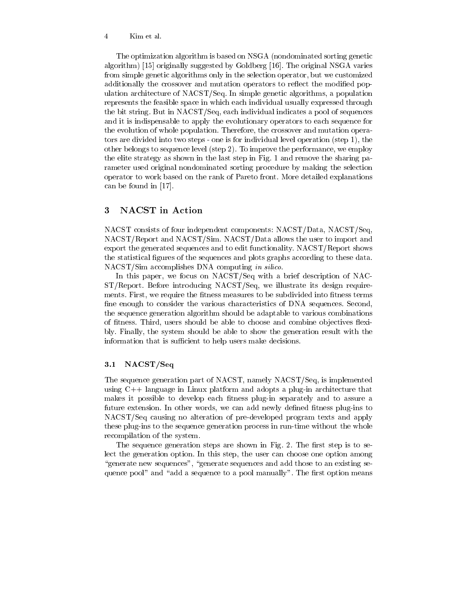#### $\overline{4}$ Kim et al.

The optimization algorithm is based on NSGA (nondominated sorting genetic algorithm) [15] originally suggested by Goldberg [16]. The original NSGA varies from simple genetic algorithms only in the selection operator, but we customized additionally the crossover and mutation operators to reflect the modified population architecture of NACST/Seq. In simple genetic algorithms, a population represents the feasible space in which each individual usually expressed through the bit string. But in NACST/Seq, each individual indicates a pool of sequences and it is indispensable to apply the evolutionary operators to each sequence for the evolution of whole population. Therefore, the crossover and mutation operators are divided into two steps - one is for individual level operation (step 1), the other belongs to sequence level (step 2). To improve the performance, we employ the elite strategy as shown in the last step in Fig. 1 and remove the sharing parameter used original nondominated sorting procedure by making the selection operator to work based on the rank of Pareto front. More detailed explanations can be found in  $[17]$ .

#### **NACST** in Action 3

NACST consists of four independent components: NACST/Data, NACST/Seq. NACST/Report and NACST/Sim. NACST/Data allows the user to import and export the generated sequences and to edit functionality. NACST/Report shows the statistical figures of the sequences and plots graphs according to these data. NACST/Sim accomplishes DNA computing in silico.

In this paper, we focus on NACST/Seq with a brief description of NAC-ST/Report. Before introducing NACST/Seq, we illustrate its design requirements. First, we require the fitness measures to be subdivided into fitness terms fine enough to consider the various characteristics of DNA sequences. Second, the sequence generation algorithm should be adaptable to various combinations of fitness. Third, users should be able to choose and combine objectives flexibly. Finally, the system should be able to show the generation result with the information that is sufficient to help users make decisions.

#### $NACST/Seq$  $3.1\,$

The sequence generation part of NACST, namely NACST/Seq, is implemented using  $C++$  language in Linux platform and adopts a plug-in architecture that makes it possible to develop each fitness plug-in separately and to assure a future extension. In other words, we can add newly defined fitness plug-ins to NACST/Seq causing no alteration of pre-developed program texts and apply these plug-ins to the sequence generation process in run-time without the whole recompilation of the system.

The sequence generation steps are shown in Fig. 2. The first step is to select the generation option. In this step, the user can choose one option among "generate new sequences", "generate sequences and add those to an existing sequence pool" and "add a sequence to a pool manually". The first option means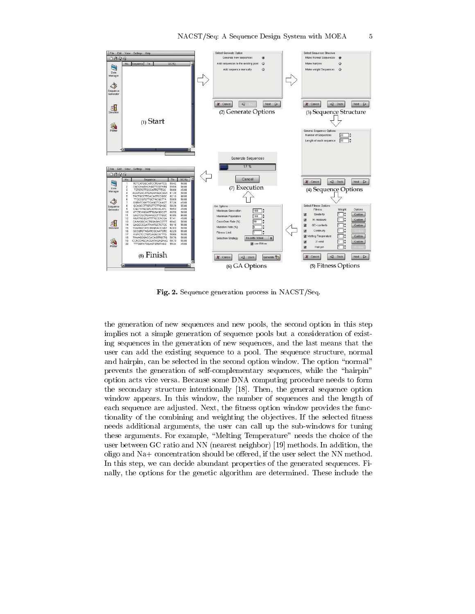

Fig. 2. Sequence generation process in NACST/Seq.

the generation of new sequences and new pools, the second option in this step implies not a simple generation of sequence pools but a consideration of existing sequences in the generation of new sequences, and the last means that the user can add the existing sequence to a pool. The sequence structure, normal and hairpin, can be selected in the second option window. The option "normal" prevents the generation of self-complementary sequences, while the "hairpin" option acts vice versa. Because some DNA computing procedure needs to form the secondary structure intentionally [18]. Then, the general sequence option window appears. In this window, the number of sequences and the length of each sequence are adjusted. Next, the fitness option window provides the functionality of the combining and weighting the objectives. If the selected fitness needs additional arguments, the user can call up the sub-windows for tuning these arguments. For example, "Melting Temperature" needs the choice of the user between GC ratio and NN (nearest neighbor) [19] methods. In addition, the oligo and Na+ concentration should be offered, if the user select the NN method. In this step, we can decide abundant properties of the generated sequences. Finally, the options for the genetic algorithm are determined. These include the

 $\overline{5}$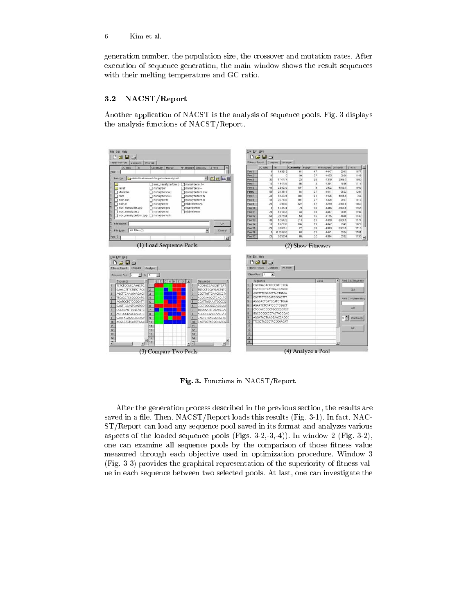$\,6$ Kim et al.

generation number, the population size, the crossover and mutation rates. After execution of sequence generation, the main window shows the result sequences with their melting temperature and GC ratio.

#### $3.2$ NACST/Report

Another application of NACST is the analysis of sequence pools. Fig. 3 displays the analysis functions of NACST/Report.



Fig. 3. Functions in NACST/Report.

After the generation process described in the previous section, the results are saved in a file. Then, NACST/Report loads this results (Fig. 3-1). In fact, NAC-ST/Report can load any sequence pool saved in its format and analyzes various aspects of the loaded sequence pools (Figs.  $3-2, -3, -4$ )). In window 2 (Fig.  $3-2$ ), one can examine all sequence pools by the comparison of those fitness value measured through each objective used in optimization procedure. Window 3 (Fig. 3-3) provides the graphical representation of the superiority of fitness value in each sequence between two selected pools. At last, one can investigate the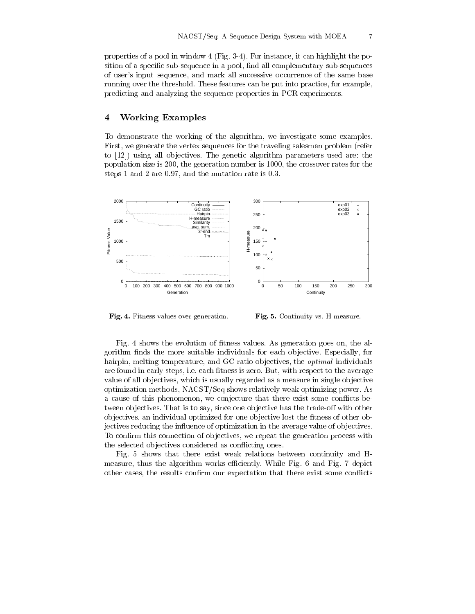properties of a pool in window 4 (Fig. 3-4). For instance, it can highlight the position of a specific sub-sequence in a pool, find all complementary sub-sequences of user's input sequence, and mark all successive occurrence of the same base running over the threshold. These features can be put into practice, for example, predicting and analyzing the sequence properties in PCR experiments.

#### **Working Examples**  $\overline{4}$

To demonstrate the working of the algorithm, we investigate some examples. First, we generate the vertex sequences for the traveling salesman problem (refer to  $[12]$ ) using all objectives. The genetic algorithm parameters used are: the population size is 200, the generation number is 1000, the crossover rates for the steps 1 and 2 are 0.97, and the mutation rate is  $0.3$ .



Fig. 4. Fitness values over generation.

Fig. 5. Continuity vs. H-measure.

Fig. 4 shows the evolution of fitness values. As generation goes on, the algorithm finds the more suitable individuals for each objective. Especially, for hairpin, melting temperature, and GC ratio objectives, the *optimal* individuals are found in early steps, i.e. each fitness is zero. But, with respect to the average value of all objectives, which is usually regarded as a measure in single objective optimization methods, NACST/Seq shows relatively weak optimizing power. As a cause of this phenomenon, we conjecture that there exist some conflicts between objectives. That is to say, since one objective has the trade-off with other objectives, an individual optimized for one objective lost the fitness of other objectives reducing the influence of optimization in the average value of objectives. To confirm this connection of objectives, we repeat the generation process with the selected objectives considered as conflicting ones.

Fig. 5 shows that there exist weak relations between continuity and Hmeasure, thus the algorithm works efficiently. While Fig. 6 and Fig. 7 depict other cases, the results confirm our expectation that there exist some conflicts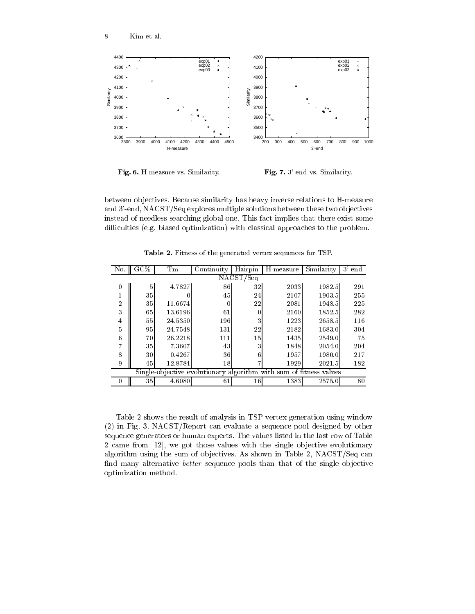

Fig. 6. H-measure vs. Similarity. Fig. 7. 3' end vs. Similarity.

between objectives. Because similarity has heavy inverse relations to H-measure and 3'-end, NACST/Seq explores multiple solutions between these two objectives instead of needless searching global one. This fact implies that there exist some difficulties (e.g. biased optimization) with classical approaches to the problem.

| No.                                                                | $GC\%$ | Tm      | Continuity | Hairpin | H-measure | Similarity | $3'$ end |  |  |
|--------------------------------------------------------------------|--------|---------|------------|---------|-----------|------------|----------|--|--|
| NACST/Seq                                                          |        |         |            |         |           |            |          |  |  |
| U                                                                  | 5      | 4.7827  | 86         | 32      | 2033      | 1982.5     | 291      |  |  |
|                                                                    | 35     |         | 45         | 24      | 2107      | 1903.5     | 255      |  |  |
| $\overline{2}$                                                     | 35     | 11.6674 | 0          | 22      | 2081      | 1948.5     | 225      |  |  |
| 3                                                                  | 65     | 13.6196 | 61         |         | 2160      | 1852.5     | 282      |  |  |
| 4                                                                  | 55     | 24.5350 | 196        | 3       | 1223      | 2658.5     | 116      |  |  |
| $\overline{5}$                                                     | 95     | 24.7548 | 131        | 22      | 2182      | 1683.0     | 304      |  |  |
| 6                                                                  | 70     | 26.2218 | 111        | 15      | 1435      | 2549.0     | 75       |  |  |
| 7                                                                  | 35     | 7.3607  | 43         | 3       | 1848      | 2054.0     | 204      |  |  |
| 8                                                                  | 30     | 0.4267  | 36         |         | 1957      | 1980.0     | 217      |  |  |
| 9                                                                  | 45     | 12.8784 | 18         |         | 1929      | 2021.5     | 182      |  |  |
| Single-objective evolutionary algorithm with sum of fitness values |        |         |            |         |           |            |          |  |  |
|                                                                    | 35     | 4.6080  | 61         | 16      | 1383      | 2575.0     | 80       |  |  |

Table 2. Fitness of the generated vertex sequences for TSP.

Table 2 shows the result of analysis in TSP vertex generation using window (2) in Fig. 3. NACST/Report can evaluate a sequence pool designed by other sequence generators or human experts. The values listed in the last row of Table 2 came from [12], we got those values with the single objective evolutionary algorithm using the sum of objectives. As shown in Table 2, NACST/Seq can find many alternative *better* sequence pools than that of the single objective optimization method.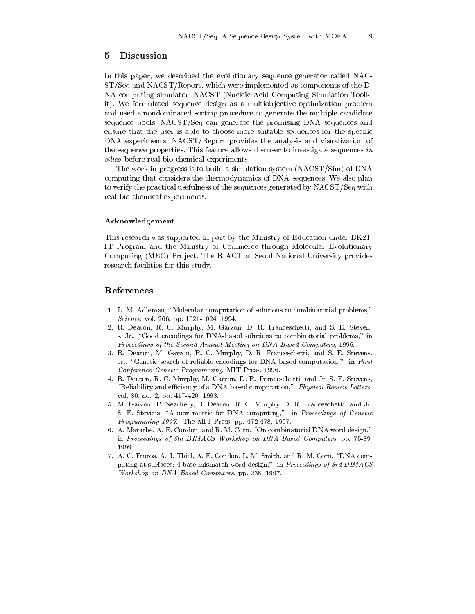#### **Discussion** 5

In this paper, we described the evolutionary sequence generator called NAC-ST/Seq and NACST/Report, which were implemented as components of the D-NA computing simulator, NACST (Nucleic Acid Computing Simulation Toolkit). We formulated sequence design as a multiobjective optimization problem and used a nondominated sorting procedure to generate the multiple candidate sequence pools. NACST/Seq can generate the promising DNA sequences and ensure that the user is able to choose more suitable sequences for the specific DNA experiments. NACST/Report provides the analysis and visualization of the sequence properties. This feature allows the user to investigate sequences in *silico* before real bio-chemical experiments.

The work in progress is to build a simulation system (NACST/Sim) of DNA computing that considers the thermodynamics of DNA sequences. We also plan to verify the practical usefulness of the sequences generated by NACST/Seq with real bio-chemical experiments.

### Acknowledgement

This research was supported in part by the Ministry of Education under BK21-IT Program and the Ministry of Commerce through Molecular Evolutionary Computing (MEC) Project. The RIACT at Seoul National University provides research facilities for this study.

## References

- 1. L. M. Adleman, "Molecular computation of solutions to combinatorial problems," Science, vol. 266, pp. 1021-1024, 1994.
- 2. R. Deaton, R. C. Murphy, M. Garzon, D. R. Franceschetti, and S. E. Stevens. Jr., "Good encodings for DNA-based solutions to combinatorial problems," in Proceedings of the Second Annual Meeting on DNA Based Computers, 1996.
- 3. R. Deaton, M. Garzon, R. C. Murphy, D. R. Franceschetti, and S. E. Stevens. Jr., "Genetic search of reliable encodings for DNA based computation," in First Conference Genetic Programming, MIT Press. 1996.
- 4. R. Deaton, R. C. Murphy, M. Garzon, D. R. Franceschetti, and Jr. S. E. Stevens, "Reliability and efficiency of a DNA-based computation," Physical Review Letters, vol. 80, no. 2, pp. 417-420, 1998.
- 5. M. Garzon, P. Neathery, R. Deaton, R. C. Murphy, D. R. Franceschetti, and Jr. S. E. Stevens, "A new metric for DNA computing," in Proceedings of Genetic Programming 1997., The MIT Press. pp. 472-478, 1997.
- 6. A. Marathe, A. E. Condon, and R. M. Corn, "On combinatorial DNA word design," in Proceedings of 5th DIMACS Workshop on DNA Based Computers, pp. 75-89, 1999.
- 7. A. G. Frutos, A. J. Thiel, A. E. Condon, L. M. Smith, and R. M. Corn, "DNA computing at surfaces: 4 base mismatch word design," in Proceedings of 3rd DIMACS Workshop on DNA Based Computers, pp. 238, 1997.